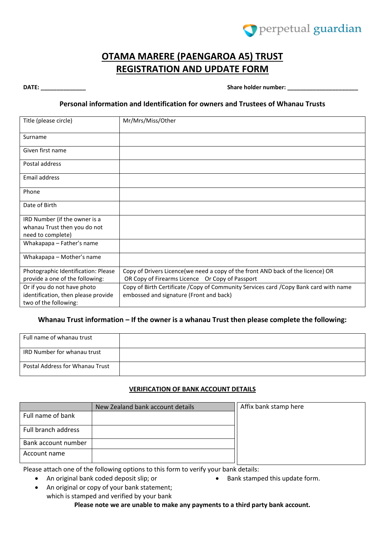

# **OTAMA MARERE (PAENGAROA A5) TRUST REGISTRATION AND UPDATE FORM**

**DATE: DATE:** *DATE: DATE: DATE: DATE: DATE: DATE: DATE: DATE: DATE: DATE: DATE: DATE: DATE: DATE: DATE: DATE: DATE: DATE: DATE: DATE: DATE* 

### **Personal information and Identification for owners and Trustees of Whanau Trusts**

| Title (please circle)                                        | Mr/Mrs/Miss/Other                                                                    |
|--------------------------------------------------------------|--------------------------------------------------------------------------------------|
| Surname                                                      |                                                                                      |
| Given first name                                             |                                                                                      |
| Postal address                                               |                                                                                      |
| Email address                                                |                                                                                      |
| Phone                                                        |                                                                                      |
| Date of Birth                                                |                                                                                      |
| IRD Number (if the owner is a                                |                                                                                      |
| whanau Trust then you do not<br>need to complete)            |                                                                                      |
| Whakapapa - Father's name                                    |                                                                                      |
| Whakapapa – Mother's name                                    |                                                                                      |
| Photographic Identification: Please                          | Copy of Drivers Licence(we need a copy of the front AND back of the licence) OR      |
| provide a one of the following:                              | OR Copy of Firearms Licence Or Copy of Passport                                      |
| Or if you do not have photo                                  | Copy of Birth Certificate /Copy of Community Services card /Copy Bank card with name |
| identification, then please provide<br>two of the following: | embossed and signature (Front and back)                                              |

### Whanau Trust information – If the owner is a whanau Trust then please complete the following:

| Full name of whanau trust              |  |
|----------------------------------------|--|
| IRD Number for whanau trust            |  |
| <b>Postal Address for Whanau Trust</b> |  |

### **VERIFICATION OF BANK ACCOUNT DETAILS**

|                     | New Zealand bank account details |
|---------------------|----------------------------------|
| Full name of bank   |                                  |
| Full branch address |                                  |
| Bank account number |                                  |
| Account name        |                                  |

Affix bank stamp here

Please attach one of the following options to this form to verify your bank details:

An original bank coded deposit slip; or

- Bank stamped this update form.
- An original or copy of your bank statement; which is stamped and verified by your bank **Please note we are unable to make any payments to a third party bank account.**